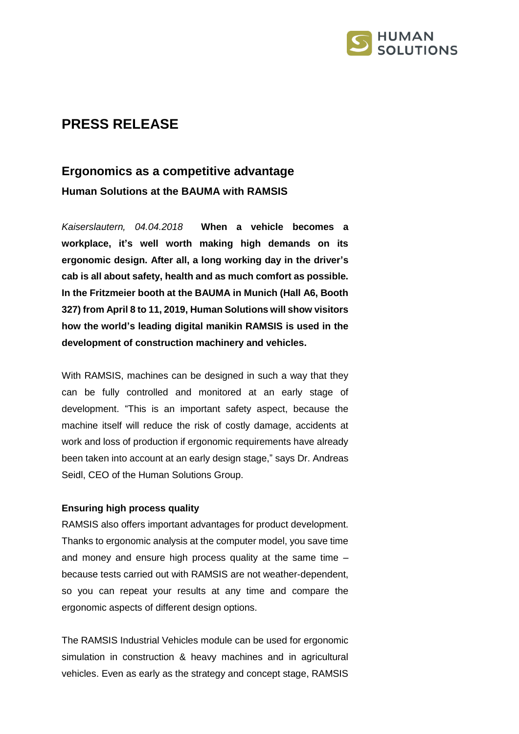

## **PRESS RELEASE**

# **Ergonomics as a competitive advantage Human Solutions at the BAUMA with RAMSIS**

*Kaiserslautern, 04.04.2018* **When a vehicle becomes a workplace, it's well worth making high demands on its ergonomic design. After all, a long working day in the driver's cab is all about safety, health and as much comfort as possible. In the Fritzmeier booth at the BAUMA in Munich (Hall A6, Booth 327) from April 8 to 11, 2019, Human Solutions will show visitors how the world's leading digital manikin RAMSIS is used in the development of construction machinery and vehicles.**

With RAMSIS, machines can be designed in such a way that they can be fully controlled and monitored at an early stage of development. "This is an important safety aspect, because the machine itself will reduce the risk of costly damage, accidents at work and loss of production if ergonomic requirements have already been taken into account at an early design stage," says Dr. Andreas Seidl, CEO of the Human Solutions Group.

#### **Ensuring high process quality**

RAMSIS also offers important advantages for product development. Thanks to ergonomic analysis at the computer model, you save time and money and ensure high process quality at the same time – because tests carried out with RAMSIS are not weather-dependent, so you can repeat your results at any time and compare the ergonomic aspects of different design options.

The RAMSIS Industrial Vehicles module can be used for ergonomic simulation in construction & heavy machines and in agricultural vehicles. Even as early as the strategy and concept stage, RAMSIS